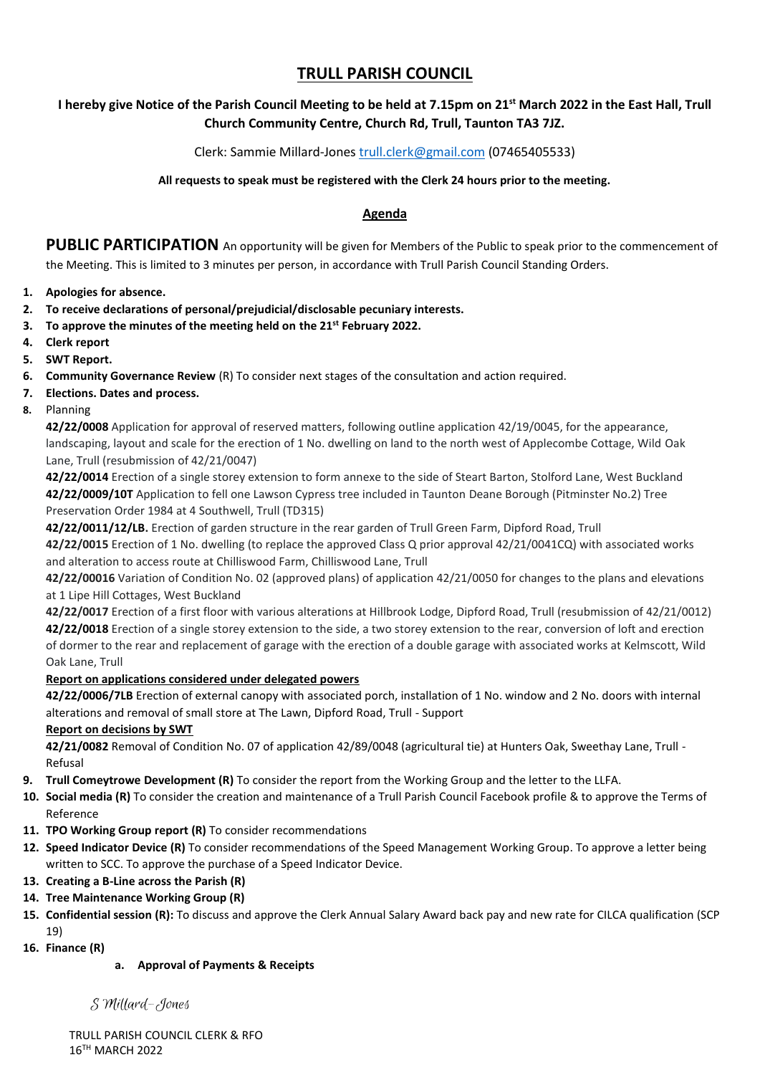# **TRULL PARISH COUNCIL**

## **I hereby give Notice of the Parish Council Meeting to be held at 7.15pm on 21st March 2022 in the East Hall, Trull Church Community Centre, Church Rd, Trull, Taunton TA3 7JZ.**

### Clerk: Sammie Millard-Jones [trull.clerk@gmail.com](mailto:trull.clerk@gmail.com) (07465405533)

#### **All requests to speak must be registered with the Clerk 24 hours prior to the meeting.**

### **Agenda**

**PUBLIC PARTICIPATION** An opportunity will be given for Members of the Public to speak prior to the commencement of the Meeting. This is limited to 3 minutes per person, in accordance with Trull Parish Council Standing Orders.

- **1. Apologies for absence.**
- **2. To receive declarations of personal/prejudicial/disclosable pecuniary interests.**
- **3. To approve the minutes of the meeting held on the 21st February 2022.**
- **4. Clerk report**
- **5. SWT Report.**
- **6. Community Governance Review** (R) To consider next stages of the consultation and action required.
- **7. Elections. Dates and process.**
- **8.** Planning

**42/22/0008** Application for approval of reserved matters, following outline application 42/19/0045, for the appearance, landscaping, layout and scale for the erection of 1 No. dwelling on land to the north west of Applecombe Cottage, Wild Oak Lane, Trull (resubmission of 42/21/0047)

**42/22/0014** Erection of a single storey extension to form annexe to the side of Steart Barton, Stolford Lane, West Buckland **42/22/0009/10T** Application to fell one Lawson Cypress tree included in Taunton Deane Borough (Pitminster No.2) Tree Preservation Order 1984 at 4 Southwell, Trull (TD315)

**42/22/0011/12/LB.** Erection of garden structure in the rear garden of Trull Green Farm, Dipford Road, Trull

**42/22/0015** Erection of 1 No. dwelling (to replace the approved Class Q prior approval 42/21/0041CQ) with associated works and alteration to access route at Chilliswood Farm, Chilliswood Lane, Trull

**42/22/00016** Variation of Condition No. 02 (approved plans) of application 42/21/0050 for changes to the plans and elevations at 1 Lipe Hill Cottages, West Buckland

**42/22/0017** Erection of a first floor with various alterations at Hillbrook Lodge, Dipford Road, Trull (resubmission of 42/21/0012) **42/22/0018** Erection of a single storey extension to the side, a two storey extension to the rear, conversion of loft and erection of dormer to the rear and replacement of garage with the erection of a double garage with associated works at Kelmscott, Wild Oak Lane, Trull

#### **Report on applications considered under delegated powers**

**42/22/0006/7LB** Erection of external canopy with associated porch, installation of 1 No. window and 2 No. doors with internal alterations and removal of small store at The Lawn, Dipford Road, Trull - Support

#### **Report on decisions by SWT**

**42/21/0082** Removal of Condition No. 07 of application 42/89/0048 (agricultural tie) at Hunters Oak, Sweethay Lane, Trull - Refusal

- **9. Trull Comeytrowe Development (R)** To consider the report from the Working Group and the letter to the LLFA.
- **10. Social media (R)** To consider the creation and maintenance of a Trull Parish Council Facebook profile & to approve the Terms of Reference
- **11. TPO Working Group report (R)** To consider recommendations
- **12. Speed Indicator Device (R)** To consider recommendations of the Speed Management Working Group. To approve a letter being written to SCC. To approve the purchase of a Speed Indicator Device.
- **13. Creating a B-Line across the Parish (R)**
- **14. Tree Maintenance Working Group (R)**
- **15. Confidential session (R):** To discuss and approve the Clerk Annual Salary Award back pay and new rate for CILCA qualification (SCP 19)
- **16. Finance (R)**

#### **a. Approval of Payments & Receipts**

S Millard-Jones

TRULL PARISH COUNCIL CLERK & RFO 16TH MARCH 2022